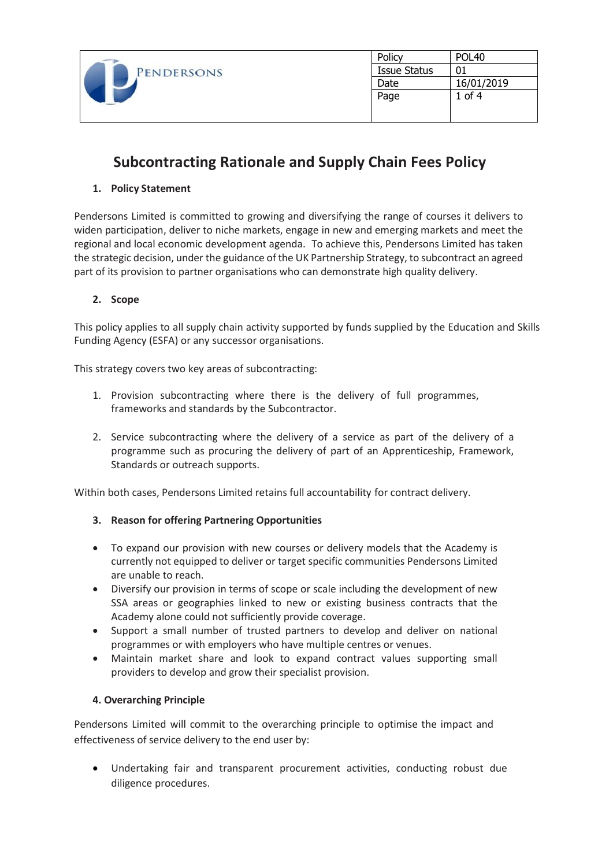| PENDERSONS | Policy              | POL <sub>40</sub> |
|------------|---------------------|-------------------|
|            | <b>Issue Status</b> | 01                |
|            | Date                | 16/01/2019        |
|            | Page                | $1$ of $4$        |
|            |                     |                   |
|            |                     |                   |

# **Subcontracting Rationale and Supply Chain Fees Policy**

### **1. Policy Statement**

Pendersons Limited is committed to growing and diversifying the range of courses it delivers to widen participation, deliver to niche markets, engage in new and emerging markets and meet the regional and local economic development agenda. To achieve this, Pendersons Limited has taken the strategic decision, under the guidance of the UK Partnership Strategy, to subcontract an agreed part of its provision to partner organisations who can demonstrate high quality delivery.

#### **2. Scope**

This policy applies to all supply chain activity supported by funds supplied by the Education and Skills Funding Agency (ESFA) or any successor organisations.

This strategy covers two key areas of subcontracting:

- 1. Provision subcontracting where there is the delivery of full programmes, frameworks and standards by the Subcontractor.
- 2. Service subcontracting where the delivery of a service as part of the delivery of a programme such as procuring the delivery of part of an Apprenticeship, Framework, Standards or outreach supports.

Within both cases, Pendersons Limited retains full accountability for contract delivery.

### **3. Reason for offering Partnering Opportunities**

- To expand our provision with new courses or delivery models that the Academy is currently not equipped to deliver or target specific communities Pendersons Limited are unable to reach.
- Diversify our provision in terms of scope or scale including the development of new SSA areas or geographies linked to new or existing business contracts that the Academy alone could not sufficiently provide coverage.
- Support a small number of trusted partners to develop and deliver on national programmes or with employers who have multiple centres or venues.
- Maintain market share and look to expand contract values supporting small providers to develop and grow their specialist provision.

#### **4. Overarching Principle**

Pendersons Limited will commit to the overarching principle to optimise the impact and effectiveness of service delivery to the end user by:

• Undertaking fair and transparent procurement activities, conducting robust due diligence procedures.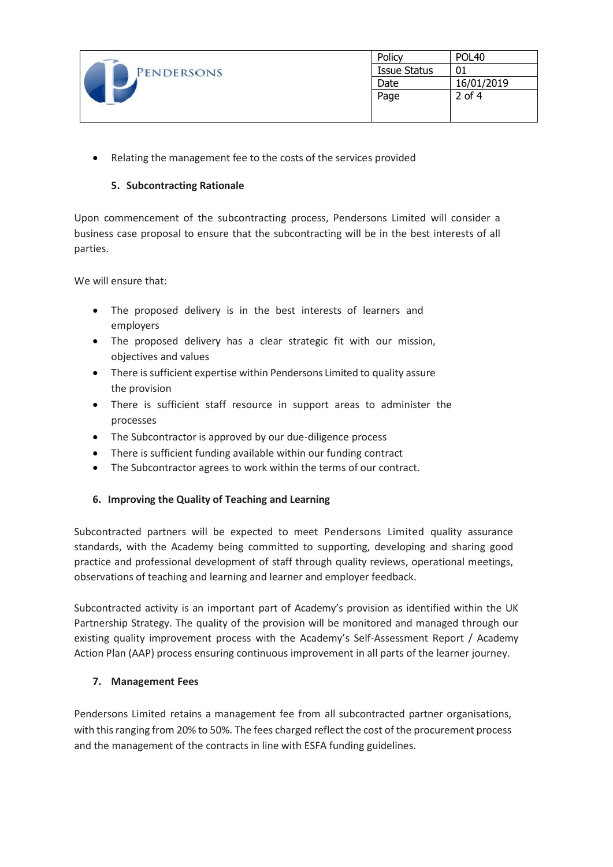| PENDERSONS | Policy              | <b>POL40</b> |
|------------|---------------------|--------------|
|            | <b>Issue Status</b> | 01           |
|            | Date                | 16/01/2019   |
|            | Page                | $2$ of 4     |
|            |                     |              |
|            |                     |              |

• Relating the management fee to the costs of the services provided

# **5. Subcontracting Rationale**

Upon commencement of the subcontracting process, Pendersons Limited will consider a business case proposal to ensure that the subcontracting will be in the best interests of all parties.

We will ensure that:

- The proposed delivery is in the best interests of learners and employers
- The proposed delivery has a clear strategic fit with our mission, objectives and values
- There is sufficient expertise within Pendersons Limited to quality assure the provision
- There is sufficient staff resource in support areas to administer the processes
- The Subcontractor is approved by our due-diligence process
- There is sufficient funding available within our funding contract
- The Subcontractor agrees to work within the terms of our contract.

### **6. Improving the Quality of Teaching and Learning**

Subcontracted partners will be expected to meet Pendersons Limited quality assurance standards, with the Academy being committed to supporting, developing and sharing good practice and professional development of staff through quality reviews, operational meetings, observations of teaching and learning and learner and employer feedback.

Subcontracted activity is an important part of Academy's provision as identified within the UK Partnership Strategy. The quality of the provision will be monitored and managed through our existing quality improvement process with the Academy's Self-Assessment Report / Academy Action Plan (AAP) process ensuring continuous improvement in all parts of the learner journey.

### **7. Management Fees**

Pendersons Limited retains a management fee from all subcontracted partner organisations, with this ranging from 20% to 50%. The fees charged reflect the cost of the procurement process and the management of the contracts in line with ESFA funding guidelines.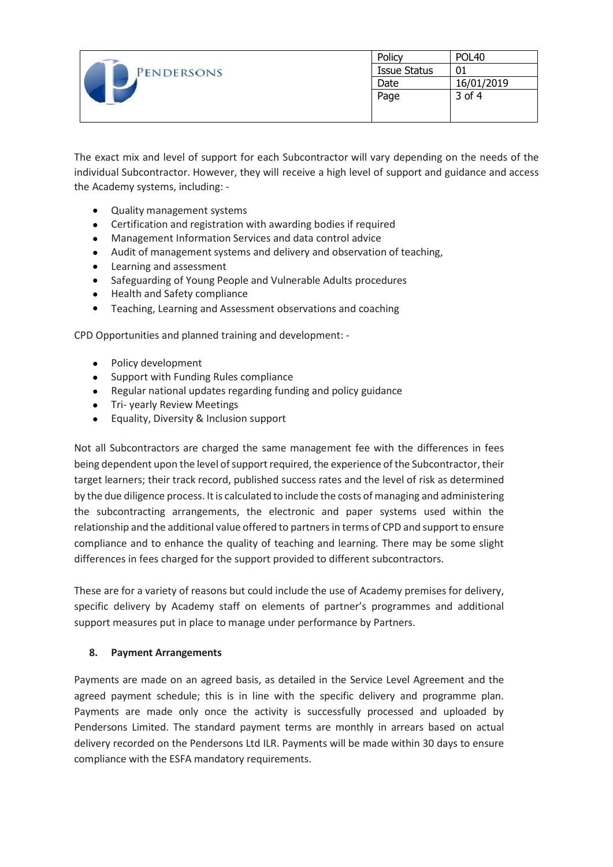| PENDERSONS | Policy              | <b>POL40</b> |
|------------|---------------------|--------------|
|            | <b>Issue Status</b> | 01           |
|            | Date                | 16/01/2019   |
|            | Page                | 3 of 4       |
|            |                     |              |
|            |                     |              |

The exact mix and level of support for each Subcontractor will vary depending on the needs of the individual Subcontractor. However, they will receive a high level of support and guidance and access the Academy systems, including: -

- Quality management systems
- Certification and registration with awarding bodies if required
- Management Information Services and data control advice
- Audit of management systems and delivery and observation of teaching,
- Learning and assessment
- Safeguarding of Young People and Vulnerable Adults procedures
- Health and Safety compliance
- Teaching, Learning and Assessment observations and coaching

CPD Opportunities and planned training and development: -

- Policy development
- Support with Funding Rules compliance
- Regular national updates regarding funding and policy guidance
- Tri- yearly Review Meetings
- Equality, Diversity & Inclusion support

Not all Subcontractors are charged the same management fee with the differences in fees being dependent upon the level of support required, the experience of the Subcontractor, their target learners; their track record, published success rates and the level of risk as determined by the due diligence process. It is calculated to include the costs of managing and administering the subcontracting arrangements, the electronic and paper systems used within the relationship and the additional value offered to partners in terms of CPD and support to ensure compliance and to enhance the quality of teaching and learning. There may be some slight differences in fees charged for the support provided to different subcontractors.

These are for a variety of reasons but could include the use of Academy premises for delivery, specific delivery by Academy staff on elements of partner's programmes and additional support measures put in place to manage under performance by Partners.

### **8. Payment Arrangements**

Payments are made on an agreed basis, as detailed in the Service Level Agreement and the agreed payment schedule; this is in line with the specific delivery and programme plan. Payments are made only once the activity is successfully processed and uploaded by Pendersons Limited. The standard payment terms are monthly in arrears based on actual delivery recorded on the Pendersons Ltd ILR. Payments will be made within 30 days to ensure compliance with the ESFA mandatory requirements.